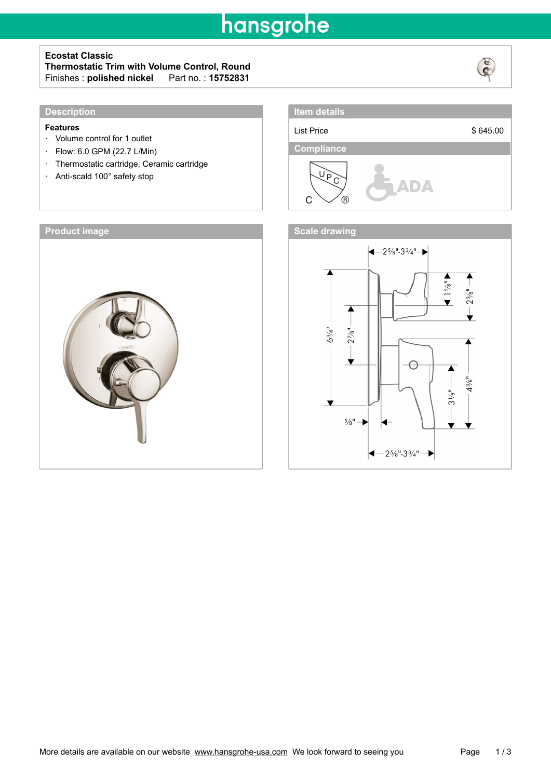## hansgrohe

### **Ecostat Classic**

### **Thermostatic Trim with Volume Control, Round**  $Finishes:$  **polished nickel**



### **Features**

- · Volume control for 1 outlet
- · Flow: 6.0 GPM (22.7 L/Min)
- · Thermostatic cartridge, Ceramic cartridge
- · Anti-scald 100° safety stop







**Item details**

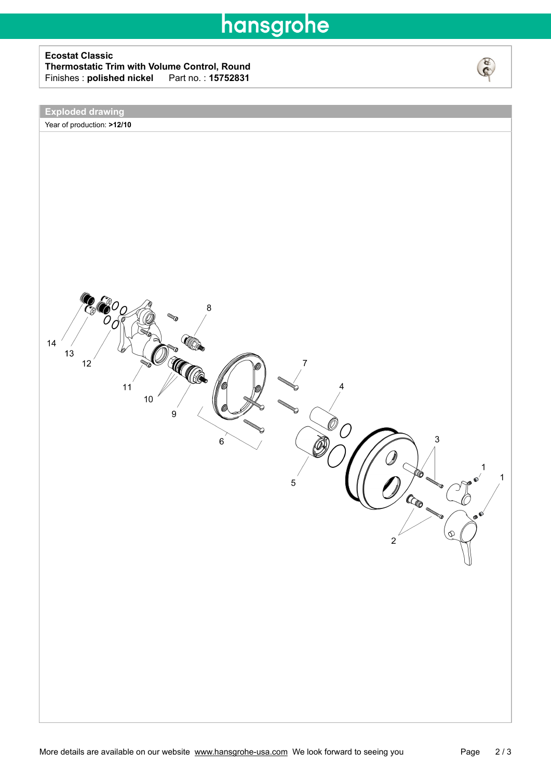# hansgrohe

### **Ecostat Classic Thermostatic Trim with Volume Control, Round** Finishes : **polished nickel**\_\_\_Part no. : **15752831**



### **Exploded drawing**